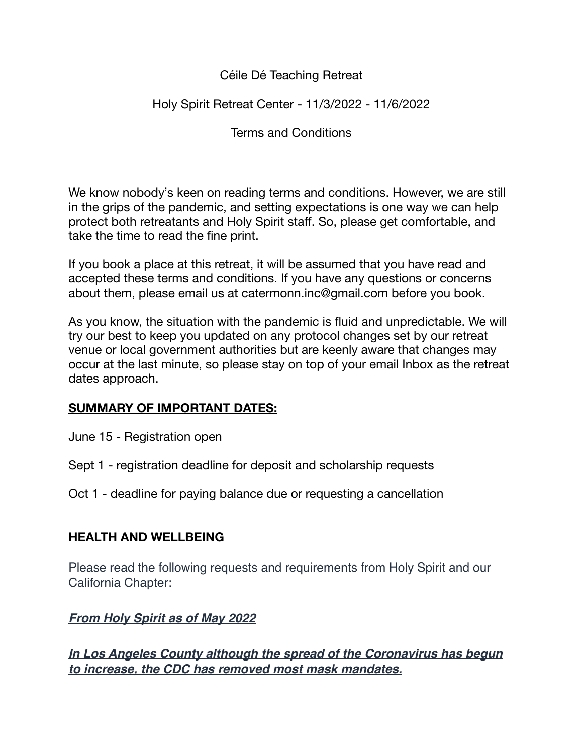### Céile Dé Teaching Retreat

## Holy Spirit Retreat Center - 11/3/2022 - 11/6/2022

Terms and Conditions

We know nobody's keen on reading terms and conditions. However, we are still in the grips of the pandemic, and setting expectations is one way we can help protect both retreatants and Holy Spirit staff. So, please get comfortable, and take the time to read the fine print.

If you book a place at this retreat, it will be assumed that you have read and accepted these terms and conditions. If you have any questions or concerns about them, please email us at catermonn.inc@gmail.com before you book.

As you know, the situation with the pandemic is fluid and unpredictable. We will try our best to keep you updated on any protocol changes set by our retreat venue or local government authorities but are keenly aware that changes may occur at the last minute, so please stay on top of your email Inbox as the retreat dates approach.

## **SUMMARY OF IMPORTANT DATES:**

- June 15 Registration open
- Sept 1 registration deadline for deposit and scholarship requests

Oct 1 - deadline for paying balance due or requesting a cancellation

#### **HEALTH AND WELLBEING**

Please read the following requests and requirements from Holy Spirit and our California Chapter:

## *From Holy Spirit as of May 2022*

*In Los Angeles County although the spread of the Coronavirus has begun to increase, the CDC has removed most mask mandates.*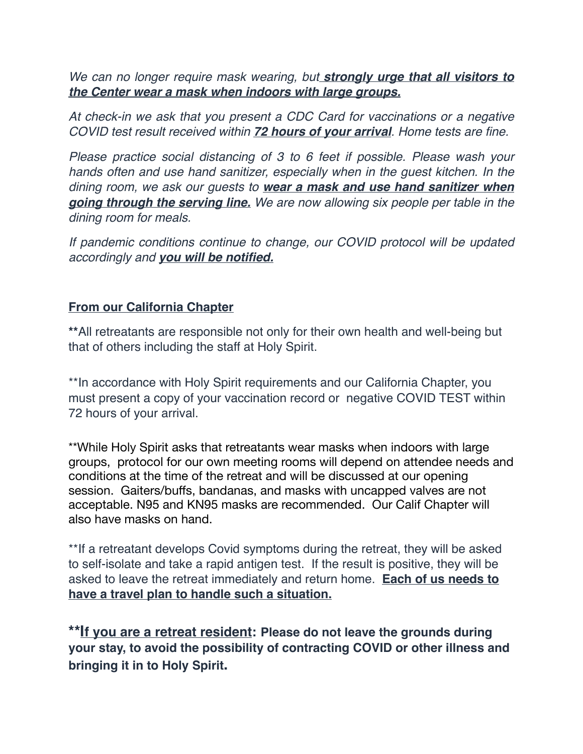*We can no longer require mask wearing, but strongly urge that all visitors to the Center wear a mask when indoors with large groups.*

*At check-in we ask that you present a CDC Card for vaccinations or a negative COVID test result received within 72 hours of your arrival. Home tests are fine.*

*Please practice social distancing of 3 to 6 feet if possible. Please wash your hands often and use hand sanitizer, especially when in the guest kitchen. In the dining room, we ask our guests to wear a mask and use hand sanitizer when going through the serving line. We are now allowing six people per table in the dining room for meals.*

*If pandemic conditions continue to change, our COVID protocol will be updated accordingly and you will be notified.* 

### **From our California Chapter**

**\*\***All retreatants are responsible not only for their own health and well-being but that of others including the staff at Holy Spirit.

\*\*In accordance with Holy Spirit requirements and our California Chapter, you must present a copy of your vaccination record or negative COVID TEST within 72 hours of your arrival.

\*\*While Holy Spirit asks that retreatants wear masks when indoors with large groups, protocol for our own meeting rooms will depend on attendee needs and conditions at the time of the retreat and will be discussed at our opening session. Gaiters/buffs, bandanas, and masks with uncapped valves are not acceptable. N95 and KN95 masks are recommended. Our Calif Chapter will also have masks on hand.

\*\*If a retreatant develops Covid symptoms during the retreat, they will be asked to self-isolate and take a rapid antigen test. If the result is positive, they will be asked to leave the retreat immediately and return home. **Each of us needs to have a travel plan to handle such a situation.** 

**\*\*If you are a retreat resident: Please do not leave the grounds during your stay, to avoid the possibility of contracting COVID or other illness and bringing it in to Holy Spirit.**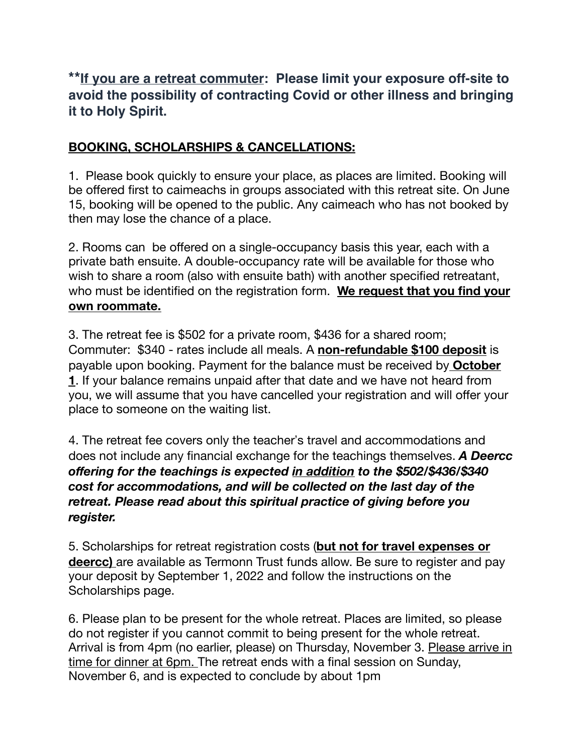# **\*\*If you are a retreat commuter: Please limit your exposure off-site to avoid the possibility of contracting Covid or other illness and bringing it to Holy Spirit.**

## **BOOKING, SCHOLARSHIPS & CANCELLATIONS:**

1. Please book quickly to ensure your place, as places are limited. Booking will be offered first to caimeachs in groups associated with this retreat site. On June 15, booking will be opened to the public. Any caimeach who has not booked by then may lose the chance of a place.

2. Rooms can be offered on a single-occupancy basis this year, each with a private bath ensuite. A double-occupancy rate will be available for those who wish to share a room (also with ensuite bath) with another specified retreatant, who must be identified on the registration form. **We request that you find your own roommate.** 

3. The retreat fee is \$502 for a private room, \$436 for a shared room; Commuter: \$340 - rates include all meals. A **non-refundable \$100 deposit** is payable upon booking. Payment for the balance must be received by **October 1**. If your balance remains unpaid after that date and we have not heard from you, we will assume that you have cancelled your registration and will offer your place to someone on the waiting list.

4. The retreat fee covers only the teacher's travel and accommodations and does not include any financial exchange for the teachings themselves. *A Deercc offering for the teachings is expected in addition to the \$502/\$436/\$340 cost for accommodations, and will be collected on the last day of the retreat. Please read about this spiritual practice of giving before you register.* 

5. Scholarships for retreat registration costs (**but not for travel expenses or deercc)** are available as Termonn Trust funds allow. Be sure to register and pay your deposit by September 1, 2022 and follow the instructions on the Scholarships page.

6. Please plan to be present for the whole retreat. Places are limited, so please do not register if you cannot commit to being present for the whole retreat. Arrival is from 4pm (no earlier, please) on Thursday, November 3. Please arrive in time for dinner at 6pm. The retreat ends with a final session on Sunday, November 6, and is expected to conclude by about 1pm